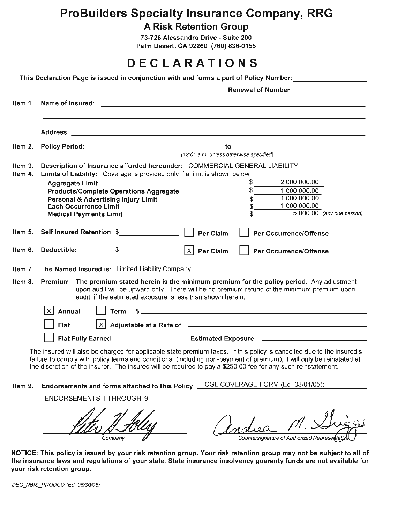# **ProBuilders Specialty Insurance Company, RRG**

**A Risk Retention Group** 

73-726 Alessandro Drive - Suite 200 Palm Desert, CA 92260 (760) 836-0155

# **DECLARATIONS**

| Item 1. | Name of Insured:                                                                                                                                                                                                                                                                                                                                                |                                               |
|---------|-----------------------------------------------------------------------------------------------------------------------------------------------------------------------------------------------------------------------------------------------------------------------------------------------------------------------------------------------------------------|-----------------------------------------------|
|         | <b>Address</b><br><u> 1989 - Johann Barn, amerikansk politiker (d. 1989)</u>                                                                                                                                                                                                                                                                                    |                                               |
| Item 2. |                                                                                                                                                                                                                                                                                                                                                                 | to<br><u> 1990 - Johann Barbara, martin a</u> |
|         |                                                                                                                                                                                                                                                                                                                                                                 | (12:01 a.m. unless otherwise specified)       |
| Item 3. | Description of Insurance afforded hereunder: COMMERCIAL GENERAL LIABILITY                                                                                                                                                                                                                                                                                       |                                               |
| Item 4. | Limits of Liability: Coverage is provided only if a limit is shown below:                                                                                                                                                                                                                                                                                       |                                               |
|         | <b>Aggregate Limit</b>                                                                                                                                                                                                                                                                                                                                          | 2,000,000.00<br>S                             |
|         | <b>Products/Complete Operations Aggregate</b><br>Personal & Advertising Injury Limit                                                                                                                                                                                                                                                                            | \$<br>1,000,000.00<br>1,000,000.00            |
|         | <b>Each Occurrence Limit</b>                                                                                                                                                                                                                                                                                                                                    | 1,000,000.00<br>\$                            |
|         | <b>Medical Payments Limit</b>                                                                                                                                                                                                                                                                                                                                   | 5,000.00 (any one person)                     |
| Item 5. | Self Insured Retention: \$<br><b>Per Claim</b>                                                                                                                                                                                                                                                                                                                  | <b>Per Occurrence/Offense</b>                 |
| Item 6. | Deductible:<br>$ X $ Per Claim                                                                                                                                                                                                                                                                                                                                  | <b>Per Occurrence/Offense</b>                 |
| Item 7. | The Named Insured is: Limited Liability Company                                                                                                                                                                                                                                                                                                                 |                                               |
| Item 8. | Premium: The premium stated herein is the minimum premium for the policy period. Any adjustment<br>upon audit will be upward only. There will be no premium refund of the minimum premium upon<br>audit, if the estimated exposure is less than shown herein.                                                                                                   |                                               |
|         | X   Annual<br>Term                                                                                                                                                                                                                                                                                                                                              | $\frac{1}{2}$                                 |
|         | $X$ Adjustable at a Rate of $\overline{X}$<br>Flat                                                                                                                                                                                                                                                                                                              |                                               |
|         | <b>Flat Fully Earned</b>                                                                                                                                                                                                                                                                                                                                        |                                               |
|         | The insured will also be charged for applicable state premium taxes. If this policy is cancelled due to the insured's<br>failure to comply with policy terms and conditions, (including non-payment of premium), it will only be reinstated at<br>the discretion of the insurer. The insured will be required to pay a \$250.00 fee for any such reinstatement. |                                               |
| Item 9. | Endorsements and forms attached to this Policy: CGL COVERAGE FORM (Ed. 08/01/05);                                                                                                                                                                                                                                                                               |                                               |
|         | <b>ENDORSEMENTS 1 THROUGH 9</b>                                                                                                                                                                                                                                                                                                                                 |                                               |
|         |                                                                                                                                                                                                                                                                                                                                                                 |                                               |
|         | Company                                                                                                                                                                                                                                                                                                                                                         | Countersignature of Authorized Representa     |

NOTICE: This policy is issued by your risk retention group. Your risk retention group may not be subject to all of the insurance laws and regulations of your state. State insurance insolvency guaranty funds are not available for your risk retention group.

DEC\_NBIS\_PRODCO (Ed. 06/30/05)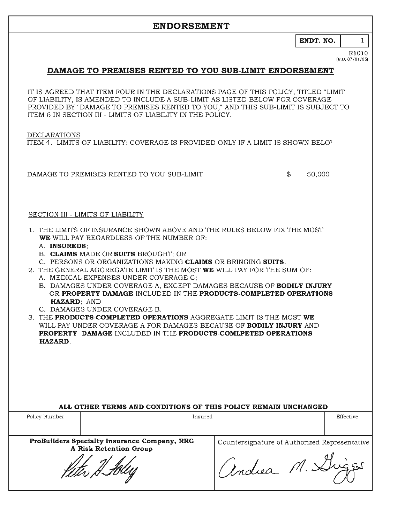ENDT. NO.

#### R1010  $(E.D. 07/01/05)$

 $\mathbf{1}$ 

### DAMAGE TO PREMISES RENTED TO YOU SUB-LIMIT ENDORSEMENT

IT IS AGREED THAT ITEM FOUR IN THE DECLARATIONS PAGE OF THIS POLICY, TITLED "LIMIT" OF LIABILITY. IS AMENDED TO INCLUDE A SUB-LIMIT AS LISTED BELOW FOR COVERAGE PROVIDED BY "DAMAGE TO PREMISES RENTED TO YOU," AND THIS SUB-LIMIT IS SUBJECT TO ITEM 6 IN SECTION III - LIMITS OF LIABILITY IN THE POLICY.

**DECLARATIONS** 

ITEM 4. LIMITS OF LIABILITY: COVERAGE IS PROVIDED ONLY IF A LIMIT IS SHOWN BELOV

DAMAGE TO PREMISES RENTED TO YOU SUB-LIMIT

 $$50,000$ 

#### SECTION III - LIMITS OF LIABILITY

- 1. THE LIMITS OF INSURANCE SHOWN ABOVE AND THE RULES BELOW FIX THE MOST WE WILL PAY REGARDLESS OF THE NUMBER OF:
	- A. INSUREDS:
	- B. CLAIMS MADE OR SUITS BROUGHT; OR
	- C. PERSONS OR ORGANIZATIONS MAKING CLAIMS OR BRINGING SUITS.
- 2. THE GENERAL AGGREGATE LIMIT IS THE MOST WE WILL PAY FOR THE SUM OF:
	- A. MEDICAL EXPENSES UNDER COVERAGE C;
	- B. DAMAGES UNDER COVERAGE A, EXCEPT DAMAGES BECAUSE OF BODILY INJURY OR PROPERTY DAMAGE INCLUDED IN THE PRODUCTS-COMPLETED OPERATIONS HAZARD: AND
	- C. DAMAGES UNDER COVERAGE B.
- 3. THE PRODUCTS-COMPLETED OPERATIONS AGGREGATE LIMIT IS THE MOST WE WILL PAY UNDER COVERAGE A FOR DAMAGES BECAUSE OF BODILY INJURY AND **PROPERTY DAMAGE INCLUDED IN THE PRODUCTS-COMLPETED OPERATIONS** HAZARD.

|  | ALL OTHER TERMS AND CONDITIONS OF THIS POLICY REMAIN UNCHANGED |
|--|----------------------------------------------------------------|
|  |                                                                |

| Policy Number | Insured                                                                                  |                                                                 | Effective |
|---------------|------------------------------------------------------------------------------------------|-----------------------------------------------------------------|-----------|
|               | ProBuilders Specialty Insurance Company, RRG<br>A Risk Retention Group<br>Keter H. Foles | Countersignature of Authorized Representative<br>Vendrea M. Dr. |           |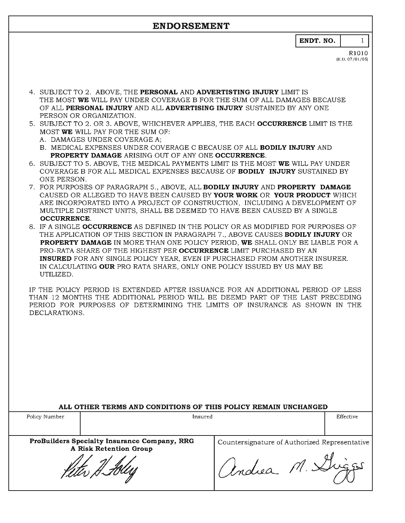ENDT. NO.

R1010  $(E.D. 07/01/05)$ 

 $\mathbf{1}$ 

- 4. SUBJECT TO 2. ABOVE. THE PERSONAL AND ADVERTISTING INJURY LIMIT IS THE MOST WE WILL PAY UNDER COVERAGE B FOR THE SUM OF ALL DAMAGES BECAUSE OF ALL PERSONAL INJURY AND ALL ADVERTISING INJURY SUSTAINED BY ANY ONE PERSON OR ORGANIZATION.
- 5. SUBJECT TO 2. OR 3. ABOVE, WHICHEVER APPLIES, THE EACH **OCCURRENCE** LIMIT IS THE MOST WE WILL PAY FOR THE SUM OF:
	- A. DAMAGES UNDER COVERAGE A:
	- B. MEDICAL EXPENSES UNDER COVERAGE C BECAUSE OF ALL BODILY INJURY AND **PROPERTY DAMAGE ARISING OUT OF ANY ONE OCCURRENCE.**
- 6. SUBJECT TO 5. ABOVE, THE MEDICAL PAYMENTS LIMIT IS THE MOST WE WILL PAY UNDER COVERAGE B FOR ALL MEDICAL EXPENSES BECAUSE OF **BODILY INJURY** SUSTAINED BY ONE PERSON.
- 7. FOR PURPOSES OF PARAGRAPH 5., ABOVE, ALL BODILY INJURY AND PROPERTY DAMAGE CAUSED OR ALLEGED TO HAVE BEEN CAUSED BY YOUR WORK OR YOUR PRODUCT WHICH ARE INCORPORATED INTO A PROJECT OF CONSTRUCTION. INCLUDING A DEVELOPMENT OF MULTIPLE DISTRINCT UNITS, SHALL BE DEEMED TO HAVE BEEN CAUSED BY A SINGLE **OCCURRENCE.**
- 8. IF A SINGLE OCCURRENCE AS DEFINED IN THE POLICY OR AS MODIFIED FOR PURPOSES OF THE APPLICATION OF THIS SECTION IN PARAGRAPH 7., ABOVE CAUSES BODILY INJURY OR **PROPERTY DAMAGE IN MORE THAN ONE POLICY PERIOD. WE SHALL ONLY BE LIABLE FOR A** PRO-RATA SHARE OF THE HIGHEST PER OCCURRENCE LIMIT PURCHASED BY AN **INSURED** FOR ANY SINGLE POLICY YEAR, EVEN IF PURCHASED FROM ANOTHER INSURER. IN CALCULATING OUR PRO RATA SHARE, ONLY ONE POLICY ISSUED BY US MAY BE UTILIZED.

IF THE POLICY PERIOD IS EXTENDED AFTER ISSUANCE FOR AN ADDITIONAL PERIOD OF LESS THAN 12 MONTHS THE ADDITIONAL PERIOD WILL BE DEEMD PART OF THE LAST PRECEDING PERIOD FOR PURPOSES OF DETERMINING THE LIMITS OF INSURANCE AS SHOWN IN THE DECLARATIONS.

| ALL OTHER TERMS AND CONDITIONS OF THIS POLICY REMAIN UNCHANGED |                                                                        |                                               |           |  |  |  |  |
|----------------------------------------------------------------|------------------------------------------------------------------------|-----------------------------------------------|-----------|--|--|--|--|
| Policy Number                                                  | Insured                                                                |                                               | Effective |  |  |  |  |
|                                                                |                                                                        |                                               |           |  |  |  |  |
|                                                                | ProBuilders Specialty Insurance Company, RRG<br>A Risk Retention Group | Countersignature of Authorized Representative |           |  |  |  |  |
|                                                                |                                                                        | Indiea M. XIV                                 |           |  |  |  |  |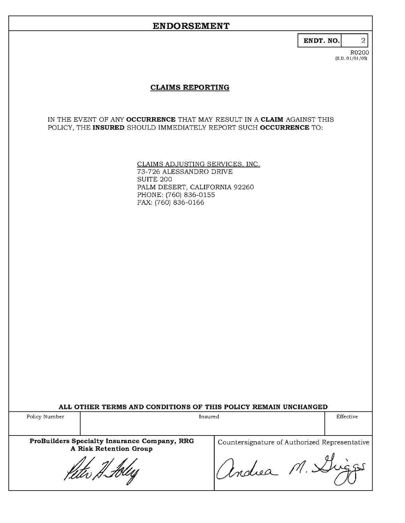| ı |  |
|---|--|
|---|--|

R0200  $(E.D. 01/01/05)$ 

2

### **CLAIMS REPORTING**

IN THE EVENT OF ANY OCCURRENCE THAT MAY RESULT IN A CLAIM AGAINST THIS POLICY, THE INSURED SHOULD IMMEDIATELY REPORT SUCH OCCURRENCE TO:

> CLAIMS ADJUSTING SERVICES, INC.<br>73-726 ALESSANDRO DRIVE **SUITE 200** PALM DESERT, CALIFORNIA 92260 PHONE: (760) 836-0155 FAX: (760) 836-0166

|  |  |  |  |  |  |  |  | ALL OTHER TERMS AND CONDITIONS OF THIS POLICY REMAIN UNCHANGED |  |
|--|--|--|--|--|--|--|--|----------------------------------------------------------------|--|
|--|--|--|--|--|--|--|--|----------------------------------------------------------------|--|

| Policy Number<br>Insured                                               |                                               | Effective |
|------------------------------------------------------------------------|-----------------------------------------------|-----------|
| ProBuilders Specialty Insurance Company, RRG<br>A Risk Retention Group | Countersignature of Authorized Representative |           |
| reter H. foles                                                         | Vindrea M. Dug                                |           |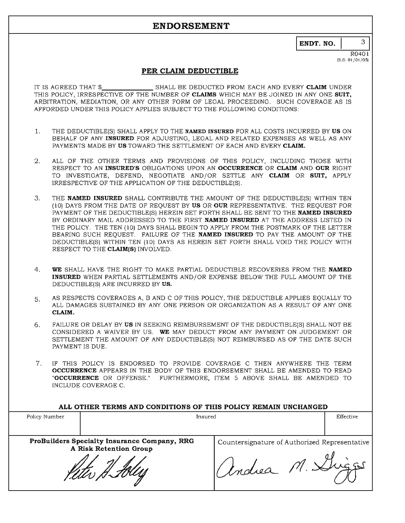ENDT. NO.

 $R<sub>0401</sub>$ (E.D. 01/01/05)

3

#### PER CLAIM DEDUCTIBLE

SHALL BE DEDUCTED FROM EACH AND EVERY CLAIM UNDER IT IS AGREED THAT \$ THIS POLICY. IRRESPECTIVE OF THE NUMBER OF CLAIMS WHICH MAY BE JOINED IN ANY ONE SUIT. ARBITRATION, MEDIATION, OR ANY OTHER FORM OF LEGAL PROCEEDING. SUCH COVERAGE AS IS AFFORDED UNDER THIS POLICY APPLIES SUBJECT TO THE FOLLOWING CONDITIONS:

- $1.$ THE DEDUCTIBLE(S) SHALL APPLY TO THE NAMED INSURED FOR ALL COSTS INCURRED BY US ON BEHALF OF ANY INSURED FOR ADJUSTING, LEGAL AND RELATED EXPENSES AS WELL AS ANY PAYMENTS MADE BY US TOWARD THE SETTLEMENT OF EACH AND EVERY CLAIM.
- $\mathbf{2}$ . ALL OF THE OTHER TERMS AND PROVISIONS OF THIS POLICY, INCLUDING THOSE WITH RESPECT TO AN INSURED'S OBLIGATIONS UPON AN OCCURRENCE OR CLAIM AND OUR RIGHT TO INVESTIGATE, DEFEND, NEGOTIATE AND/OR SETTLE ANY CLAIM OR SUIT, APPLY IRRESPECTIVE OF THE APPLICATION OF THE DEDUCTIBLE(S).
- $3.$ THE NAMED INSURED SHALL CONTRIBUTE THE AMOUNT OF THE DEDUCTIBLE(S) WITHIN TEN (10) DAYS FROM THE DATE OF REOUEST BY US OR OUR REPRESENTATIVE. THE REOUEST FOR PAYMENT OF THE DEDUCTIBLE(S) HEREIN SET FORTH SHALL BE SENT TO THE NAMED INSURED BY ORDINARY MAIL ADDRESSED TO THE FIRST NAMED INSURED AT THE ADDRESS LISTED IN THE POLICY. THE TEN (10) DAYS SHALL BEGIN TO APPLY FROM THE POSTMARK OF THE LETTER BEARING SUCH REQUEST. FAILURE OF THE NAMED INSURED TO PAY THE AMOUNT OF THE DEDUCTIBLE(S) WITHIN TEN (10) DAYS AS HEREIN SET FORTH SHALL VOID THE POLICY WITH RESPECT TO THE CLAIM(S) INVOLVED.
- $4.$ WE SHALL HAVE THE RIGHT TO MAKE PARTIAL DEDUCTIBLE RECOVERIES FROM THE NAMED INSURED WHEN PARTIAL SETTLEMENTS AND/OR EXPENSE BELOW THE FULL AMOUNT OF THE DEDUCTIBLE(S) ARE INCURRED BY US.
- AS RESPECTS COVERAGES A, B AND C OF THIS POLICY, THE DEDUCTIBLE APPLIES EQUALLY TO 5. ALL DAMAGES SUSTAINED BY ANY ONE PERSON OR ORGANIZATION AS A RESULT OF ANY ONE CLAIM.
- 6. FAILURE OR DELAY BY US IN SEEKING REIMBURSEMENT OF THE DEDUCTIBLE(S) SHALL NOT BE CONSIDERED A WAIVER BY US. WE MAY DEDUCT FROM ANY PAYMENT ON JUDGEMENT OR SETTLEMENT THE AMOUNT OF ANY DEDUCTIBLE(S) NOT REIMBURSED AS OF THE DATE SUCH PAYMENT IS DUE.
- $7.$ IF THIS POLICY IS ENDORSED TO PROVIDE COVERAGE C THEN ANYWHERE THE TERM OCCURRENCE APPEARS IN THE BODY OF THIS ENDORSEMENT SHALL BE AMENDED TO READ "OCCURRENCE OR OFFENSE." FURTHERMORE, ITEM 5 ABOVE SHALL BE AMENDED TO INCLUDE COVERAGE C.

|                                                             | Effective |
|-------------------------------------------------------------|-----------|
|                                                             |           |
| Countersignature of Authorized Representative<br>Indiea M.X |           |
|                                                             |           |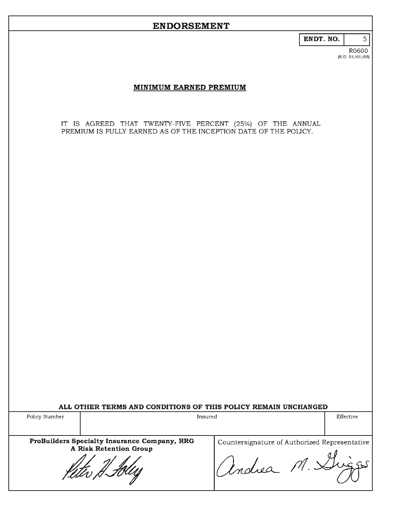ENDT. NO.

#### R0600  $(E.D. 01/01/05)$

 $\overline{5}$ 

#### MINIMUM EARNED PREMIUM

IT IS AGREED THAT TWENTY-FIVE PERCENT (25%) OF THE ANNUAL PREMIUM IS FULLY EARNED AS OF THE INCEPTION DATE OF THE POLICY.

| Policy Number | Insured                                                                                  |                                                             | Effective |
|---------------|------------------------------------------------------------------------------------------|-------------------------------------------------------------|-----------|
|               | ProBuilders Specialty Insurance Company, RRG<br>A Risk Retention Group<br>rever H. Holey | Countersignature of Authorized Representative<br>Modrea M.X |           |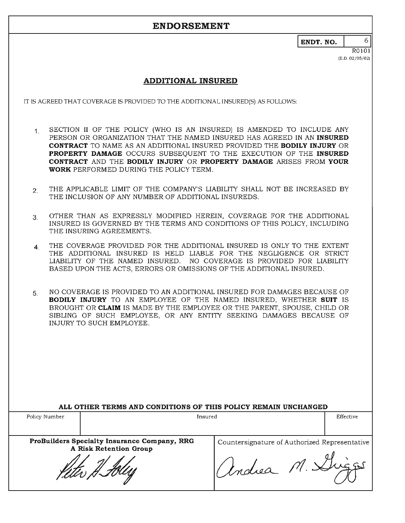ENDT. NO.

6.

### **ADDITIONAL INSURED**

IT IS AGREED THAT COVERAGE IS PROVIDED TO THE ADDITIONAL INSURED(S) AS FOLLOWS:

- SECTION II OF THE POLICY (WHO IS AN INSURED) IS AMENDED TO INCLUDE ANY  $1.$ PERSON OR ORGANIZATION THAT THE NAMED INSURED HAS AGREED IN AN INSURED **CONTRACT** TO NAME AS AN ADDITIONAL INSURED PROVIDED THE BODILY INJURY OR PROPERTY DAMAGE OCCURS SUBSEQUENT TO THE EXECUTION OF THE INSURED CONTRACT AND THE BODILY INJURY OR PROPERTY DAMAGE ARISES FROM YOUR **WORK** PERFORMED DURING THE POLICY TERM.
- THE APPLICABLE LIMIT OF THE COMPANY'S LIABILITY SHALL NOT BE INCREASED BY  $2<sub>1</sub>$ THE INCLUSION OF ANY NUMBER OF ADDITIONAL INSUREDS.
- OTHER THAN AS EXPRESSLY MODIFIED HEREIN, COVERAGE FOR THE ADDITIONAL  $3<sub>1</sub>$ INSURED IS GOVERNED BY THE TERMS AND CONDITIONS OF THIS POLICY, INCLUDING THE INSURING AGREEMENTS.
- THE COVERAGE PROVIDED FOR THE ADDITIONAL INSURED IS ONLY TO THE EXTENT  $\overline{4}$ THE ADDITIONAL INSURED IS HELD LIABLE FOR THE NEGLIGENCE OR STRICT LIABILITY OF THE NAMED INSURED. NO COVERAGE IS PROVIDED FOR LIABILITY BASED UPON THE ACTS, ERRORS OR OMISSIONS OF THE ADDITIONAL INSURED.
- NO COVERAGE IS PROVIDED TO AN ADDITIONAL INSURED FOR DAMAGES BECAUSE OF 5. **BODILY INJURY** TO AN EMPLOYEE OF THE NAMED INSURED, WHETHER SUIT IS BROUGHT OR CLAIM IS MADE BY THE EMPLOYEE OR THE PARENT, SPOUSE, CHILD OR SIBLING OF SUCH EMPLOYEE, OR ANY ENTITY SEEKING DAMAGES BECAUSE OF INJURY TO SUCH EMPLOYEE.

|               | ALL OTHER TERMS AND CONDITIONS OF THIS POLICY REMAIN UNCHANGED         |                                                                             |           |
|---------------|------------------------------------------------------------------------|-----------------------------------------------------------------------------|-----------|
| Policy Number |                                                                        | Insured                                                                     | Effective |
|               | ProBuilders Specialty Insurance Company, RRG<br>A Risk Retention Group | Countersignature of Authorized Representative<br>$1/1.$ $\geq$<br>11 indiea |           |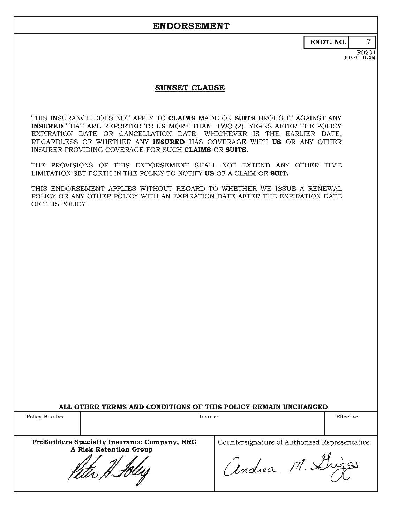ENDT. NO.

 $\overline{R0201}$  $(E.D. 01/01/05)$ 

 $\overline{7}$ 

### **SUNSET CLAUSE**

THIS INSURANCE DOES NOT APPLY TO CLAIMS MADE OR SUITS BROUGHT AGAINST ANY INSURED THAT ARE REPORTED TO US MORE THAN TWO (2) YEARS AFTER THE POLICY EXPIRATION DATE OR CANCELLATION DATE, WHICHEVER IS THE EARLIER DATE, REGARDLESS OF WHETHER ANY INSURED HAS COVERAGE WITH US OR ANY OTHER INSURER PROVIDING COVERAGE FOR SUCH CLAIMS OR SUITS.

THE PROVISIONS OF THIS ENDORSEMENT SHALL NOT EXTEND ANY OTHER TIME LIMITATION SET FORTH IN THE POLICY TO NOTIFY US OF A CLAIM OR SUIT.

THIS ENDORSEMENT APPLIES WITHOUT REGARD TO WHETHER WE ISSUE A RENEWAL POLICY OR ANY OTHER POLICY WITH AN EXPIRATION DATE AFTER THE EXPIRATION DATE OF THIS POLICY.

ALL OTHER TERMS AND CONDITIONS OF THIS POLICY REMAIN UNCHANGED

Policy Number Insured Effective ProBuilders Specialty Insurance Company, RRG Countersignature of Authorized Representative A Risk Retention Group andrea M. L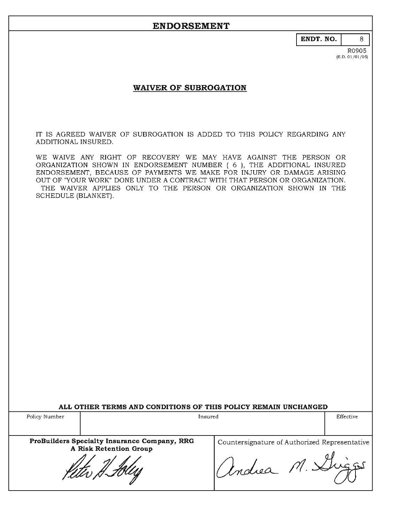ENDT. NO.

8

### **WAIVER OF SUBROGATION**

IT IS AGREED WAIVER OF SUBROGATION IS ADDED TO THIS POLICY REGARDING ANY ADDITIONAL INSURED.

WE WAIVE ANY RIGHT OF RECOVERY WE MAY HAVE AGAINST THE PERSON OR ORGANIZATION SHOWN IN ENDORSEMENT NUMBER ( 6 ), THE ADDITIONAL INSURED ENDORSEMENT, BECAUSE OF PAYMENTS WE MAKE FOR INJURY OR DAMAGE ARISING OUT OF "YOUR WORK" DONE UNDER A CONTRACT WITH THAT PERSON OR ORGANIZATION. THE WAIVER APPLIES ONLY TO THE PERSON OR ORGANIZATION SHOWN IN THE SCHEDULE (BLANKET).

| ALL OTHER TERMS AND CONDITIONS OF THIS POLICY REMAIN UNCHANGED |  |  |  |  |  |  |  |  |  |
|----------------------------------------------------------------|--|--|--|--|--|--|--|--|--|
|----------------------------------------------------------------|--|--|--|--|--|--|--|--|--|

| Policy Number<br>Insured                                               |                                               | Effective |
|------------------------------------------------------------------------|-----------------------------------------------|-----------|
| ProBuilders Specialty Insurance Company, RRG<br>A Risk Retention Group | Countersignature of Authorized Representative |           |
| ruu H.Huu                                                              | "Indiea"                                      |           |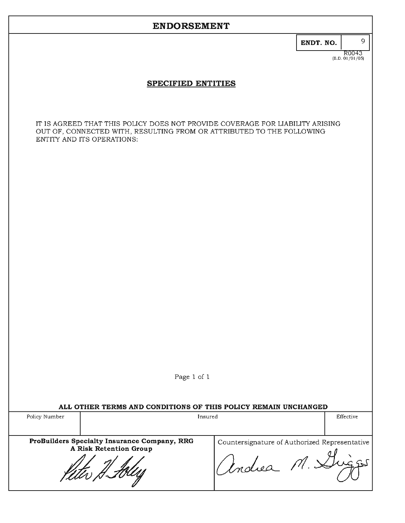# ENDT. NO.

 $R0043$ <br>(E.D. 01/01/05)

 $\mathbf{Q}$ 

### SPECIFIED ENTITIES

IT IS AGREED THAT THIS POLICY DOES NOT PROVIDE COVERAGE FOR LIABILITY ARISING OUT OF, CONNECTED WITH, RESULTING FROM OR ATTRIBUTED TO THE FOLLOWING ENTITY AND ITS OPERATIONS:

Page 1 of 1

#### ALL OTHER TERMS AND CONDITIONS OF THIS POLICY REMAIN UNCHANGED

| Policy Number | Insured                                                                                   |                                                                    | Effective |
|---------------|-------------------------------------------------------------------------------------------|--------------------------------------------------------------------|-----------|
|               | ProBuilders Specialty Insurance Company, RRG<br>A Risk Retention Group<br>reder H. Holles | Countersignature of Authorized Representative<br>$l$ ndiea $14.84$ |           |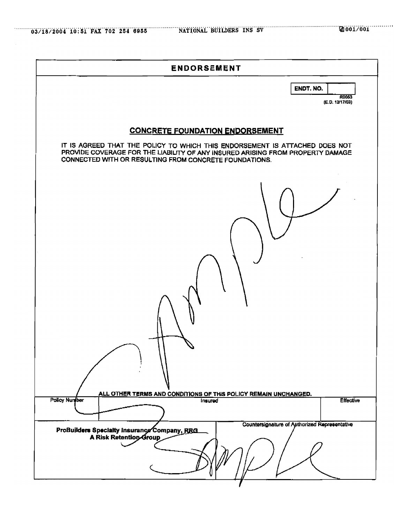| <b>ENDORSEMENT</b>                                                                                                                                                                                                                                                |
|-------------------------------------------------------------------------------------------------------------------------------------------------------------------------------------------------------------------------------------------------------------------|
| ENDT. NO.<br>R0053<br>(E.D. 12/17/03)                                                                                                                                                                                                                             |
| <b>CONCRETE FOUNDATION ENDORSEMENT</b><br>IT IS AGREED THAT THE POLICY TO WHICH THIS ENDORSEMENT IS ATTACHED DOES NOT<br>PROVIDE COVERAGE FOR THE LIABILITY OF ANY INSURED ARISING FROM PROPERTY DAMAGE<br>CONNECTED WITH OR RESULTING FROM CONCRETE FOUNDATIONS. |
|                                                                                                                                                                                                                                                                   |
| ALL OTHER TERMS AND CONDITIONS OF THIS POLICY REMAIN UNCHANGED.<br><b>Policy Nuniber</b><br>Effective<br>Insured                                                                                                                                                  |
| Countersignature of Authorized Representative<br>ProBuilders Specialty Insurance Company, RRG.<br>A Risk Retention Group                                                                                                                                          |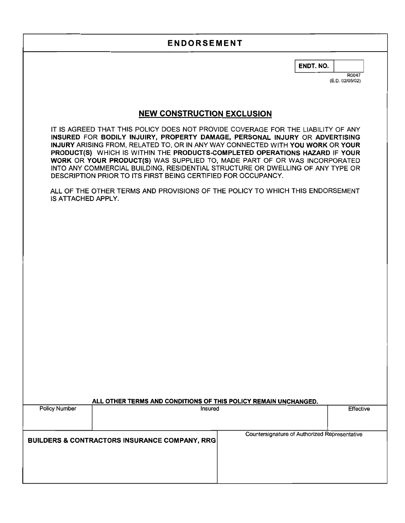ENDT. NO.

R0047 (E.D. 02/05/02)

# **NEW CONSTRUCTION EXCLUSION**

IT IS AGREED THAT THIS POLICY DOES NOT PROVIDE COVERAGE FOR THE LIABILITY OF ANY INSURED FOR BODILY INJUIRY, PROPERTY DAMAGE, PERSONAL INJURY OR ADVERTISING INJURY ARISING FROM, RELATED TO, OR IN ANY WAY CONNECTED WITH YOU WORK OR YOUR PRODUCT(S) WHICH IS WITHIN THE PRODUCTS-COMPLETED OPERATIONS HAZARD IF YOUR WORK OR YOUR PRODUCT(S) WAS SUPPLIED TO, MADE PART OF OR WAS INCORPORATED INTO ANY COMMERCIAL BUILDING, RESIDENTIAL STRUCTURE OR DWELLING OF ANY TYPE OR DESCRIPTION PRIOR TO ITS FIRST BEING CERTIFIED FOR OCCUPANCY.

ALL OF THE OTHER TERMS AND PROVISIONS OF THE POLICY TO WHICH THIS ENDORSEMENT IS ATTACHED APPLY.

| ALL OTHER TERMS AND CONDITIONS OF THIS POLICY REMAIN UNCHANGED. |         |                                               |           |
|-----------------------------------------------------------------|---------|-----------------------------------------------|-----------|
| Policy Number                                                   | Insured |                                               | Effective |
|                                                                 |         |                                               |           |
|                                                                 |         |                                               |           |
|                                                                 |         | Countersignature of Authorized Representative |           |
| BUILDERS & CONTRACTORS INSURANCE COMPANY, RRG                   |         |                                               |           |
|                                                                 |         |                                               |           |
|                                                                 |         |                                               |           |
|                                                                 |         |                                               |           |
|                                                                 |         |                                               |           |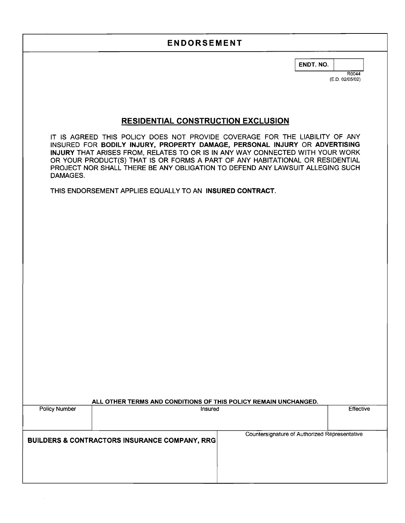ENDT. NO.

R0044 (E.D. 02/05/02)

### **RESIDENTIAL CONSTRUCTION EXCLUSION**

IT IS AGREED THIS POLICY DOES NOT PROVIDE COVERAGE FOR THE LIABILITY OF ANY INSURED FOR BODILY INJURY, PROPERTY DAMAGE, PERSONAL INJURY OR ADVERTISING INJURY THAT ARISES FROM, RELATES TO OR IS IN ANY WAY CONNECTED WITH YOUR WORK OR YOUR PRODUCT(S) THAT IS OR FORMS A PART OF ANY HABITATIONAL OR RESIDENTIAL PROJECT NOR SHALL THERE BE ANY OBLIGATION TO DEFEND ANY LAWSUIT ALLEGING SUCH DAMAGES.

THIS ENDORSEMENT APPLIES EQUALLY TO AN INSURED CONTRACT.

| ALL OTHER TERMS AND CONDITIONS OF THIS POLICY REMAIN UNCHANGED. |                                                          |                                               |           |  |
|-----------------------------------------------------------------|----------------------------------------------------------|-----------------------------------------------|-----------|--|
| Policy Number                                                   | Insured                                                  |                                               | Effective |  |
|                                                                 |                                                          |                                               |           |  |
|                                                                 |                                                          |                                               |           |  |
|                                                                 | <b>BUILDERS &amp; CONTRACTORS INSURANCE COMPANY, RRG</b> | Countersignature of Authorized Representative |           |  |
|                                                                 |                                                          |                                               |           |  |
|                                                                 |                                                          |                                               |           |  |
|                                                                 |                                                          |                                               |           |  |
|                                                                 |                                                          |                                               |           |  |
|                                                                 |                                                          |                                               |           |  |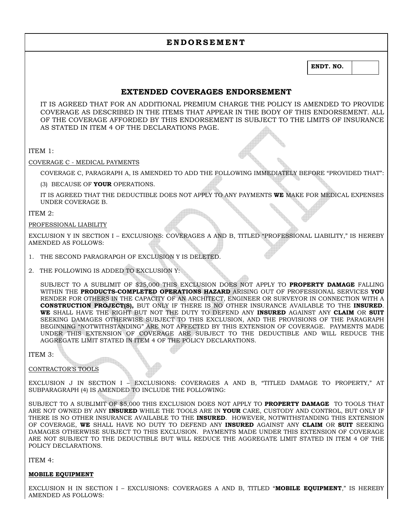### **EXTENDED COVERAGES ENDORSEMENT**

IT IS AGREED THAT FOR AN ADDITIONAL PREMIUM CHARGE THE POLICY IS AMENDED TO PROVIDE COVERAGE AS DESCRIBED IN THE ITEMS THAT APPEAR IN THE BODY OF THIS ENDORSEMENT. ALL OF THE COVERAGE AFFORDED BY THIS ENDORSEMENT IS SUBJECT TO THE LIMITS OF INSURANCE AS STATED IN ITEM 4 OF THE DECLARATIONS PAGE.

#### ITEM 1:

COVERAGE C - MEDICAL PAYMENTS

COVERAGE C, PARAGRAPH A, IS AMENDED TO ADD THE FOLLOWING IMMEDIATELY BEFORE "PROVIDED THAT":

(3) BECAUSE OF **YOUR** OPERATIONS.

IT IS AGREED THAT THE DEDUCTIBLE DOES NOT APPLY TO ANY PAYMENTS **WE** MAKE FOR MEDICAL EXPENSES UNDER COVERAGE B.

#### ITEM 2:

#### PROFESSIONAL LIABILITY

EXCLUSION Y IN SECTION I – EXCLUSIONS: COVERAGES A AND B, TITLED "PROFESSIONAL LIABILITY," IS HEREBY AMENDED AS FOLLOWS:

- 1. THE SECOND PARAGRAPGH OF EXCLUSION Y IS DELETED.
- 2. THE FOLLOWING IS ADDED TO EXCLUSION Y:

SUBJECT TO A SUBLIMIT OF \$25,000 THIS EXCLUSION DOES NOT APPLY TO **PROPERTY DAMAGE** FALLING WITHIN THE **PRODUCTS-COMPLETED OPERATIONS HAZARD** ARISING OUT OF PROFESSIONAL SERVICES **YOU** RENDER FOR OTHERS IN THE CAPACITY OF AN ARCHITECT, ENGINEER OR SURVEYOR IN CONNECTION WITH A **CONSTRUCTION PROJECT(S),** BUT ONLY IF THERE IS NO OTHER INSURANCE AVAILABLE TO THE **INSURED**. **WE** SHALL HAVE THE RIGHT BUT NOT THE DUTY TO DEFEND ANY **INSURED** AGAINST ANY **CLAIM** OR **SUIT**  SEEKING DAMAGES OTHERWISE SUBJECT TO THIS EXCLUSION, AND THE PROVISIONS OF THE PARAGRAPH BEGINNING "NOTWITHSTANDING" ARE NOT AFFECTED BY THIS EXTENSION OF COVERAGE. PAYMENTS MADE UNDER THIS EXTENSION OF COVERAGE ARE SUBJECT TO THE DEDUCTIBLE AND WILL REDUCE THE AGGREGATE LIMIT STATED IN ITEM 4 OF THE POLICY DECLARATIONS.

#### ITEM 3:

#### CONTRACTOR'S TOOLS

EXCLUSION J IN SECTION I – EXCLUSIONS: COVERAGES A AND B, "TITLED DAMAGE TO PROPERTY," AT SUBPARAGRAPH (4) IS AMENDED TO INCLUDE THE FOLLOWING:

SUBJECT TO A SUBLIMIT OF \$5,000 THIS EXCLUSION DOES NOT APPLY TO **PROPERTY DAMAGE** TO TOOLS THAT ARE NOT OWNED BY ANY **INSURED** WHILE THE TOOLS ARE IN **YOUR** CARE, CUSTODY AND CONTROL, BUT ONLY IF THERE IS NO OTHER INSURANCE AVAILABLE TO THE **INSURED**. HOWEVER, NOTWITHSTANDING THIS EXTENSION OF COVERAGE, **WE** SHALL HAVE NO DUTY TO DEFEND ANY **INSURED** AGAINST ANY **CLAIM** OR **SUIT** SEEKING DAMAGES OTHERWISE SUBJECT TO THIS EXCLUSION. PAYMENTS MADE UNDER THIS EXTENSION OF COVERAGE ARE NOT SUBJECT TO THE DEDUCTIBLE BUT WILL REDUCE THE AGGREGATE LIMIT STATED IN ITEM 4 OF THE POLICY DECLARATIONS.

ITEM 4:

#### **MOBILE EQUIPMENT**

EXCLUSION H IN SECTION I – EXCLUSIONS: COVERAGES A AND B, TITLED "**MOBILE EQUIPMENT**," IS HEREBY AMENDED AS FOLLOWS: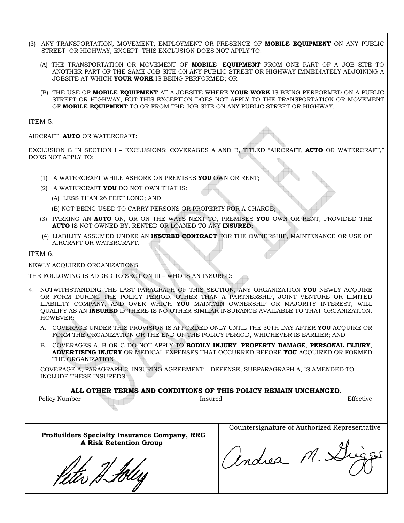- (3) ANY TRANSPORTATION, MOVEMENT, EMPLOYMENT OR PRESENCE OF **MOBILE EQUIPMENT** ON ANY PUBLIC STREET OR HIGHWAY, EXCEPT THIS EXCLUSION DOES NOT APPLY TO:
	- (A) THE TRANSPORTATION OR MOVEMENT OF **MOBILE EQUIPMENT** FROM ONE PART OF A JOB SITE TO ANOTHER PART OF THE SAME JOB SITE ON ANY PUBLIC STREET OR HIGHWAY IMMEDIATELY ADJOINING A JOBSITE AT WHICH **YOUR WORK** IS BEING PERFORMED; OR
	- (B) THE USE OF **MOBILE EQUIPMENT** AT A JOBSITE WHERE **YOUR WORK** IS BEING PERFORMED ON A PUBLIC STREET OR HIGHWAY, BUT THIS EXCEPTION DOES NOT APPLY TO THE TRANSPORTATION OR MOVEMENT OF **MOBILE EQUIPMENT** TO OR FROM THE JOB SITE ON ANY PUBLIC STREET OR HIGHWAY.

ITEM 5:

#### AIRCRAFT, **AUTO** OR WATERCRAFT:

EXCLUSION G IN SECTION I – EXCLUSIONS: COVERAGES A AND B, TITLED "AIRCRAFT, **AUTO** OR WATERCRAFT," DOES NOT APPLY TO:

- (1) A WATERCRAFT WHILE ASHORE ON PREMISES **YOU** OWN OR RENT;
- (2) A WATERCRAFT **YOU** DO NOT OWN THAT IS:
	- (A) LESS THAN 26 FEET LONG; AND

(B) NOT BEING USED TO CARRY PERSONS OR PROPERTY FOR A CHARGE;

- (3) PARKING AN **AUTO** ON, OR ON THE WAYS NEXT TO, PREMISES **YOU** OWN OR RENT, PROVIDED THE **AUTO** IS NOT OWNED BY, RENTED OR LOANED TO ANY **INSURED**;
- (4) LIABILITY ASSUMED UNDER AN **INSURED CONTRACT** FOR THE OWNERSHIP, MAINTENANCE OR USE OF AIRCRAFT OR WATERCRAFT.

ITEM 6:

 $\overline{a}$ 

#### NEWLY ACQUIRED ORGANIZATIONS

THE FOLLOWING IS ADDED TO SECTION III – WHO IS AN INSURED:

- 4. NOTWITHSTANDING THE LAST PARAGRAPH OF THIS SECTION, ANY ORGANIZATION **YOU** NEWLY ACQUIRE OR FORM DURING THE POLICY PERIOD, OTHER THAN A PARTNERSHIP, JOINT VENTURE OR LIMITED LIABILITY COMPANY, AND OVER WHICH **YOU** MAINTAIN OWNERSHIP OR MAJORITY INTEREST, WILL QUALIFY AS AN **INSURED** IF THERE IS NO OTHER SIMILAR INSURANCE AVAILABLE TO THAT ORGANIZATION. HOWEVER:
	- A. COVERAGE UNDER THIS PROVISION IS AFFORDED ONLY UNTIL THE 30TH DAY AFTER **YOU** ACQUIRE OR FORM THE ORGANIZATION OR THE END OF THE POLICY PERIOD, WHICHEVER IS EARLIER; AND
	- B. COVERAGES A, B OR C DO NOT APPLY TO **BODILY INJURY**, **PROPERTY DAMAGE**, **PERSONAL INJURY**, **ADVERTISING INJURY** OR MEDICAL EXPENSES THAT OCCURRED BEFORE **YOU** ACQUIRED OR FORMED THE ORGANIZATION.

COVERAGE A, PARAGRAPH 2. INSURING AGREEMENT – DEFENSE, SUBPARAGRAPH A, IS AMENDED TO INCLUDE THESE INSUREDS.

#### **ALL OTHER TERMS AND CONDITIONS OF THIS POLICY REMAIN UNCHANGED.**

| Policy Number | Insured                                                                       |                                               | Effective |
|---------------|-------------------------------------------------------------------------------|-----------------------------------------------|-----------|
|               |                                                                               |                                               |           |
|               | ProBuilders Specialty Insurance Company, RRG<br><b>A Risk Retention Group</b> | Countersignature of Authorized Representative |           |
|               |                                                                               | Indiea M. Du                                  |           |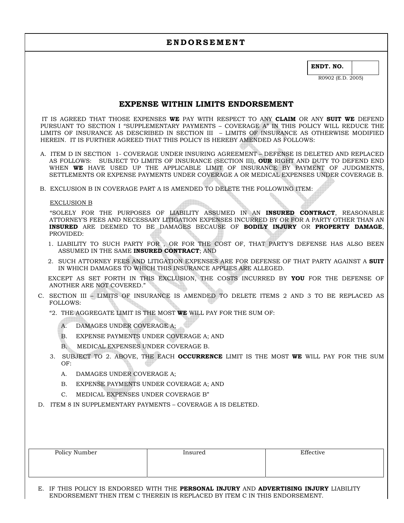**ENDT. NO.** 

R0902 (E.D. 2005)

### **EXPENSE WITHIN LIMITS ENDORSEMENT**

 IT IS AGREED THAT THOSE EXPENSES **WE** PAY WITH RESPECT TO ANY **CLAIM** OR ANY **SUIT WE** DEFEND PURSUANT TO SECTION I "SUPPLEMENTARY PAYMENTS – COVERAGE A" IN THIS POLICY WILL REDUCE THE LIMITS OF INSURANCE AS DESCRIBED IN SECTION III – LIMITS OF INSURANCE AS OTHERWISE MODIFIED HEREIN. IT IS FURTHER AGREED THAT THIS POLICY IS HEREBY AMENDED AS FOLLOWS:

- A. ITEM D IN SECTION 1- COVERAGE UNDER INSURING AGREEMENT DEFENSE IS DELETED AND REPLACED AS FOLLOWS: SUBJECT TO LIMITS OF INSURANCE (SECTION III), **OUR** RIGHT AND DUTY TO DEFEND END WHEN **WE** HAVE USED UP THE APPLICABLE LIMIT OF INSURANCE BY PAYMENT OF JUDGMENTS, SETTLEMENTS OR EXPENSE PAYMENTS UNDER COVERAGE A OR MEDICAL EXPENSES UNDER COVERAGE B.
- B. EXCLUSION B IN COVERAGE PART A IS AMENDED TO DELETE THE FOLLOWING ITEM:

#### EXCLUSION B

 "SOLELY FOR THE PURPOSES OF LIABILITY ASSUMED IN AN **INSURED CONTRACT**, REASONABLE ATTORNEY'S FEES AND NECESSARY LITIGATION EXPENSES INCURRED BY OR FOR A PARTY OTHER THAN AN **INSURED** ARE DEEMED TO BE DAMAGES BECAUSE OF **BODILY INJURY** OR **PROPERTY DAMAGE**, PROVIDED:

- 1. LIABILITY TO SUCH PARTY FOR , OR FOR THE COST OF, THAT PARTY'S DEFENSE HAS ALSO BEEN ASSUMED IN THE SAME **INSURED CONTRACT**; AND
- 2. SUCH ATTORNEY FEES AND LITIGATION EXPENSES ARE FOR DEFENSE OF THAT PARTY AGAINST A **SUIT** IN WHICH DAMAGES TO WHICH THIS INSURANCE APPLIES ARE ALLEGED.

 EXCEPT AS SET FORTH IN THIS EXCLUSION, THE COSTS INCURRED BY **YOU** FOR THE DEFENSE OF ANOTHER ARE NOT COVERED."

- C. SECTION III LIMITS OF INSURANCE IS AMENDED TO DELETE ITEMS 2 AND 3 TO BE REPLACED AS FOLLOWS:
	- "2. THE AGGREGATE LIMIT IS THE MOST **WE** WILL PAY FOR THE SUM OF:
		- A. DAMAGES UNDER COVERAGE A;
		- B. EXPENSE PAYMENTS UNDER COVERAGE A; AND
		- B. MEDICAL EXPENSES UNDER COVERAGE B.
	- 3. SUBJECT TO 2. ABOVE, THE EACH **OCCURRENCE** LIMIT IS THE MOST **WE** WILL PAY FOR THE SUM OF:
		- A. DAMAGES UNDER COVERAGE A;
		- B. EXPENSE PAYMENTS UNDER COVERAGE A; AND
		- C. MEDICAL EXPENSES UNDER COVERAGE B"
- D. ITEM 8 IN SUPPLEMENTARY PAYMENTS COVERAGE A IS DELETED.

| Policy Number | Insured | Effective |  |
|---------------|---------|-----------|--|
|               |         |           |  |
|               |         |           |  |

 E. IF THIS POLICY IS ENDORSED WITH THE **PERSONAL INJURY** AND **ADVERTISING INJURY** LIABILITY ENDORSEMENT THEN ITEM C THEREIN IS REPLACED BY ITEM C IN THIS ENDORSEMENT.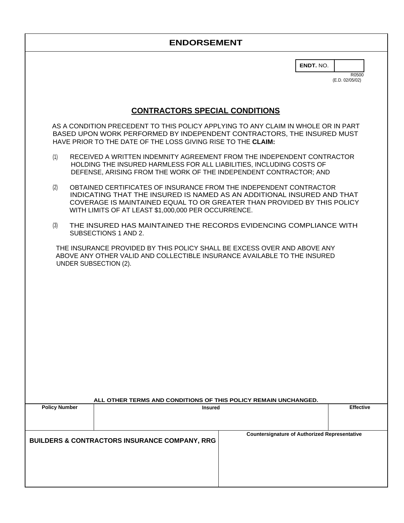**ENDT.** NO.

R0500 (E.D. 02/05/02)

# **CONTRACTORS SPECIAL CONDITIONS**

AS A CONDITION PRECEDENT TO THIS POLICY APPLYING TO ANY CLAIM IN WHOLE OR IN PART BASED UPON WORK PERFORMED BY INDEPENDENT CONTRACTORS, THE INSURED MUST HAVE PRIOR TO THE DATE OF THE LOSS GIVING RISE TO THE **CLAIM:**

- (1) RECEIVED A WRITTEN INDEMNITY AGREEMENT FROM THE INDEPENDENT CONTRACTOR HOLDING THE INSURED HARMLESS FOR ALL LIABILITIES, INCLUDING COSTS OF DEFENSE, ARISING FROM THE WORK OF THE INDEPENDENT CONTRACTOR; AND
- (2) OBTAINED CERTIFICATES OF INSURANCE FROM THE INDEPENDENT CONTRACTOR INDICATING THAT THE INSURED IS NAMED AS AN ADDITIONAL INSURED AND THAT COVERAGE IS MAINTAINED EQUAL TO OR GREATER THAN PROVIDED BY THIS POLICY WITH LIMITS OF AT LEAST \$1,000,000 PER OCCURRENCE.
- (3) THE INSURED HAS MAINTAINED THE RECORDS EVIDENCING COMPLIANCE WITH SUBSECTIONS 1 AND 2.

THE INSURANCE PROVIDED BY THIS POLICY SHALL BE EXCESS OVER AND ABOVE ANY ABOVE ANY OTHER VALID AND COLLECTIBLE INSURANCE AVAILABLE TO THE INSURED UNDER SUBSECTION (2).

|                      | ALL OTHER TERMS AND CONDITIONS OF THIS POLICY REMAIN UNCHANGED. |                                                      |                  |
|----------------------|-----------------------------------------------------------------|------------------------------------------------------|------------------|
| <b>Policy Number</b> | <b>Insured</b>                                                  |                                                      | <b>Effective</b> |
|                      |                                                                 |                                                      |                  |
|                      |                                                                 |                                                      |                  |
|                      | <b>BUILDERS &amp; CONTRACTORS INSURANCE COMPANY, RRG</b>        | <b>Countersignature of Authorized Representative</b> |                  |
|                      |                                                                 |                                                      |                  |
|                      |                                                                 |                                                      |                  |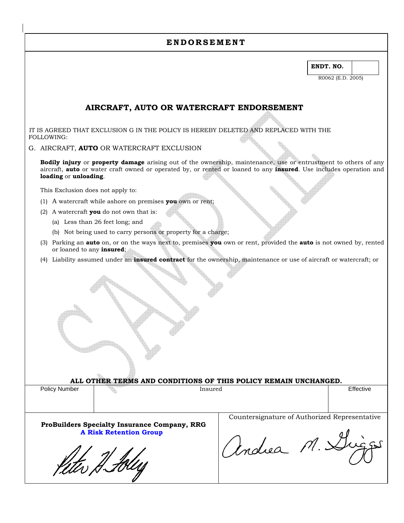**ENDT. NO.** 

R0062 (E.D. 2005)

### **AIRCRAFT, AUTO OR WATERCRAFT ENDORSEMENT**

 IT IS AGREED THAT EXCLUSION G IN THE POLICY IS HEREBY DELETED AND REPLACED WITH THE FOLLOWING:

G. AIRCRAFT, **AUTO** OR WATERCRAFT EXCLUSION

**Bodily injury** or **property damage** arising out of the ownership, maintenance, use or entrustment to others of any aircraft, **auto** or water craft owned or operated by, or rented or loaned to any **insured**. Use includes operation and **loading** or **unloading**.

This Exclusion does not apply to:

- (1) A watercraft while ashore on premises **you** own or rent;
- (2) A watercraft **you** do not own that is:
	- (a) Less than 26 feet long; and
	- (b) Not being used to carry persons or property for a charge;
- (3) Parking an **auto** on, or on the ways next to, premises **you** own or rent, provided the **auto** is not owned by, rented or loaned to any **insured**;
- (4) Liability assumed under an **insured contract** for the ownership, maintenance or use of aircraft or watercraft; or

**ALL OTHER TERMS AND CONDITIONS OF THIS POLICY REMAIN UNCHANGED.**

| Policy   | Insured | $ \cdot$          |
|----------|---------|-------------------|
| ⁄ Number | .       | <b>L</b> ttective |
|          |         |                   |

 $\overline{a}$ 

**ProBuilders Specialty Insurance Company, RRG A Risk Retention Group** 

Keter H. Hley

Countersignature of Authorized Representative

Andrea M. Dièges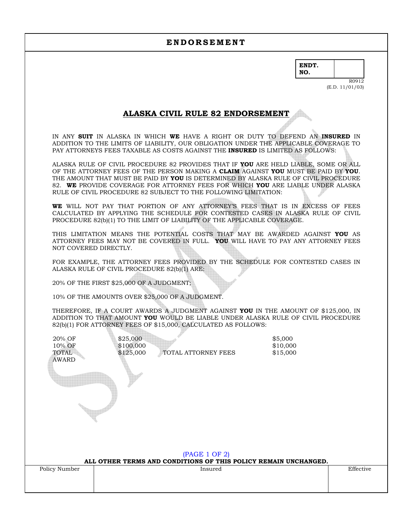**ENDT. NO.** 

> R0912 (E.D. 11/01/03)

### **ALASKA CIVIL RULE 82 ENDORSEMENT**

IN ANY **SUIT** IN ALASKA IN WHICH **WE** HAVE A RIGHT OR DUTY TO DEFEND AN **INSURED** IN ADDITION TO THE LIMITS OF LIABILITY, OUR OBLIGATION UNDER THE APPLICABLE COVERAGE TO PAY ATTORNEYS FEES TAXABLE AS COSTS AGAINST THE **INSURED** IS LIMITED AS FOLLOWS:

ALASKA RULE OF CIVIL PROCEDURE 82 PROVIDES THAT IF **YOU** ARE HELD LIABLE, SOME OR ALL OF THE ATTORNEY FEES OF THE PERSON MAKING A **CLAIM** AGAINST **YOU** MUST BE PAID BY **YOU**. THE AMOUNT THAT MUST BE PAID BY **YOU** IS DETERMINED BY ALASKA RULE OF CIVIL PROCEDURE 82. **WE** PROVIDE COVERAGE FOR ATTORNEY FEES FOR WHICH **YOU** ARE LIABLE UNDER ALASKA RULE OF CIVIL PROCEDURE 82 SUBJECT TO THE FOLLOWING LIMITATION:

**WE** WILL NOT PAY THAT PORTION OF ANY ATTORNEY'S FEES THAT IS IN EXCESS OF FEES CALCULATED BY APPLYING THE SCHEDULE FOR CONTESTED CASES IN ALASKA RULE OF CIVIL PROCEDURE 82(b)(1) TO THE LIMIT OF LIABILITY OF THE APPLICABLE COVERAGE.

THIS LIMITATION MEANS THE POTENTIAL COSTS THAT MAY BE AWARDED AGAINST **YOU** AS ATTORNEY FEES MAY NOT BE COVERED IN FULL. **YOU** WILL HAVE TO PAY ANY ATTORNEY FEES NOT COVERED DIRECTLY.

FOR EXAMPLE, THE ATTORNEY FEES PROVIDED BY THE SCHEDULE FOR CONTESTED CASES IN ALASKA RULE OF CIVIL PROCEDURE 82(b)(1) ARE:

20% OF THE FIRST \$25,000 OF A JUDGMENT;

10% OF THE AMOUNTS OVER \$25,000 OF A JUDGMENT.

THEREFORE, IF A COURT AWARDS A JUDGMENT AGAINST **YOU** IN THE AMOUNT OF \$125,000, IN ADDITION TO THAT AMOUNT **YOU** WOULD BE LIABLE UNDER ALASKA RULE OF CIVIL PROCEDURE 82(b)(1) FOR ATTORNEY FEES OF \$15,000, CALCULATED AS FOLLOWS:

| 20% OF<br>10% OF<br><b>TOTAL</b><br><b>AWARD</b> | \$25,000<br>\$100,000<br>\$125,000<br>TOTAL ATTORNEY FEES<br>(PAGE 1 OF 2) | \$5,000<br>\$10,000<br>\$15,000 |           |
|--------------------------------------------------|----------------------------------------------------------------------------|---------------------------------|-----------|
|                                                  | ALL OTHER TERMS AND CONDITIONS OF THIS POLICY REMAIN UNCHANGED.            |                                 |           |
| Policy Number                                    | Insured                                                                    |                                 | Effective |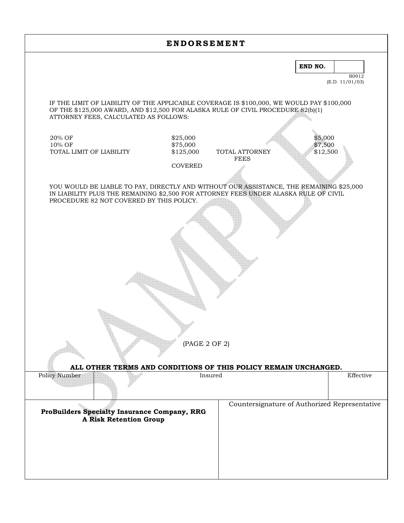|                                                                                                                                                                                                                             | <b>ENDORSEMENT</b>                |                               |                                               |  |
|-----------------------------------------------------------------------------------------------------------------------------------------------------------------------------------------------------------------------------|-----------------------------------|-------------------------------|-----------------------------------------------|--|
|                                                                                                                                                                                                                             |                                   |                               | END NO.<br>R0912<br>(E.D. 11/01/03)           |  |
| IF THE LIMIT OF LIABILITY OF THE APPLICABLE COVERAGE IS \$100,000, WE WOULD PAY \$100,000<br>OF THE \$125,000 AWARD, AND \$12,500 FOR ALASKA RULE OF CIVIL PROCEDURE 82(b)(1)<br>ATTORNEY FEES, CALCULATED AS FOLLOWS:      |                                   |                               |                                               |  |
| 20% OF<br>10% OF<br>TOTAL LIMIT OF LIABILITY                                                                                                                                                                                | \$25,000<br>\$75,000<br>\$125,000 | TOTAL ATTORNEY<br><b>FEES</b> | \$5,000<br>\$7,500<br>\$12,500                |  |
|                                                                                                                                                                                                                             | <b>COVERED</b>                    |                               |                                               |  |
| YOU WOULD BE LIABLE TO PAY, DIRECTLY AND WITHOUT OUR ASSISTANCE, THE REMAINING \$25,000<br>IN LIABILITY PLUS THE REMAINING \$2,500 FOR ATTORNEY FEES UNDER ALASKA RULE OF CIVIL<br>PROCEDURE 82 NOT COVERED BY THIS POLICY. |                                   |                               |                                               |  |
|                                                                                                                                                                                                                             |                                   |                               |                                               |  |
|                                                                                                                                                                                                                             |                                   |                               |                                               |  |
|                                                                                                                                                                                                                             |                                   |                               |                                               |  |
|                                                                                                                                                                                                                             |                                   |                               |                                               |  |
|                                                                                                                                                                                                                             |                                   |                               |                                               |  |
|                                                                                                                                                                                                                             |                                   |                               |                                               |  |
|                                                                                                                                                                                                                             |                                   |                               |                                               |  |
|                                                                                                                                                                                                                             |                                   |                               |                                               |  |
|                                                                                                                                                                                                                             | (PAGE 2 OF 2)                     |                               |                                               |  |
|                                                                                                                                                                                                                             |                                   |                               |                                               |  |
| ALL OTHER TERMS AND CONDITIONS OF THIS POLICY REMAIN UNCHANGED.                                                                                                                                                             |                                   |                               |                                               |  |
| <b>Policy Number</b>                                                                                                                                                                                                        |                                   | Insured                       | Effective                                     |  |
| ProBuilders Specialty Insurance Company, RRG                                                                                                                                                                                |                                   |                               | Countersignature of Authorized Representative |  |
| <b>A Risk Retention Group</b>                                                                                                                                                                                               |                                   |                               |                                               |  |
|                                                                                                                                                                                                                             |                                   |                               |                                               |  |
|                                                                                                                                                                                                                             |                                   |                               |                                               |  |
|                                                                                                                                                                                                                             |                                   |                               |                                               |  |
|                                                                                                                                                                                                                             |                                   |                               |                                               |  |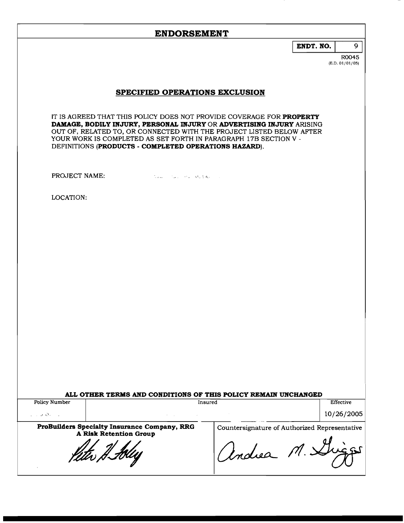| -- |
|----|
|----|

R0045 **(E.D. 01/01/05)** 

### **SPECIFIED OPERATIONS EXCLUSION**

IT IS AGREED THAT THIS POLICY DOES NOT PROVIDE COVERAGE FOR **PROPERTY DAMAGE, BODILY INJURY, PERSONAL ELJURY** OR **ADVERTISING INJURY** ARISING OUT OF, RELATED TO, OR CONNECTED WITH THE PROJECT LISTED BELOW AFTER YOUR WORK IS COMPLETED AS SET FORTH IN PARAGRAPH 17B SECTION V - DEFINITIONS **(PRODUCTS** - **COMPLETED OPERATIONS HAZARD).** 

PROJECT NAME:

the second with a

LOCATION:

# **ALL OTHER TERMS AND CONDITIONS OF THIS POLICY REMAIN UNCHANGED**

**Policy** Number

**<sup>d</sup>**.)

Effective 10/26/2005

**ProBuflders Specialty Insurance Company, RRG A Risk Retention Group** 

Countersignature of Authorized Representative

Andrea M. S